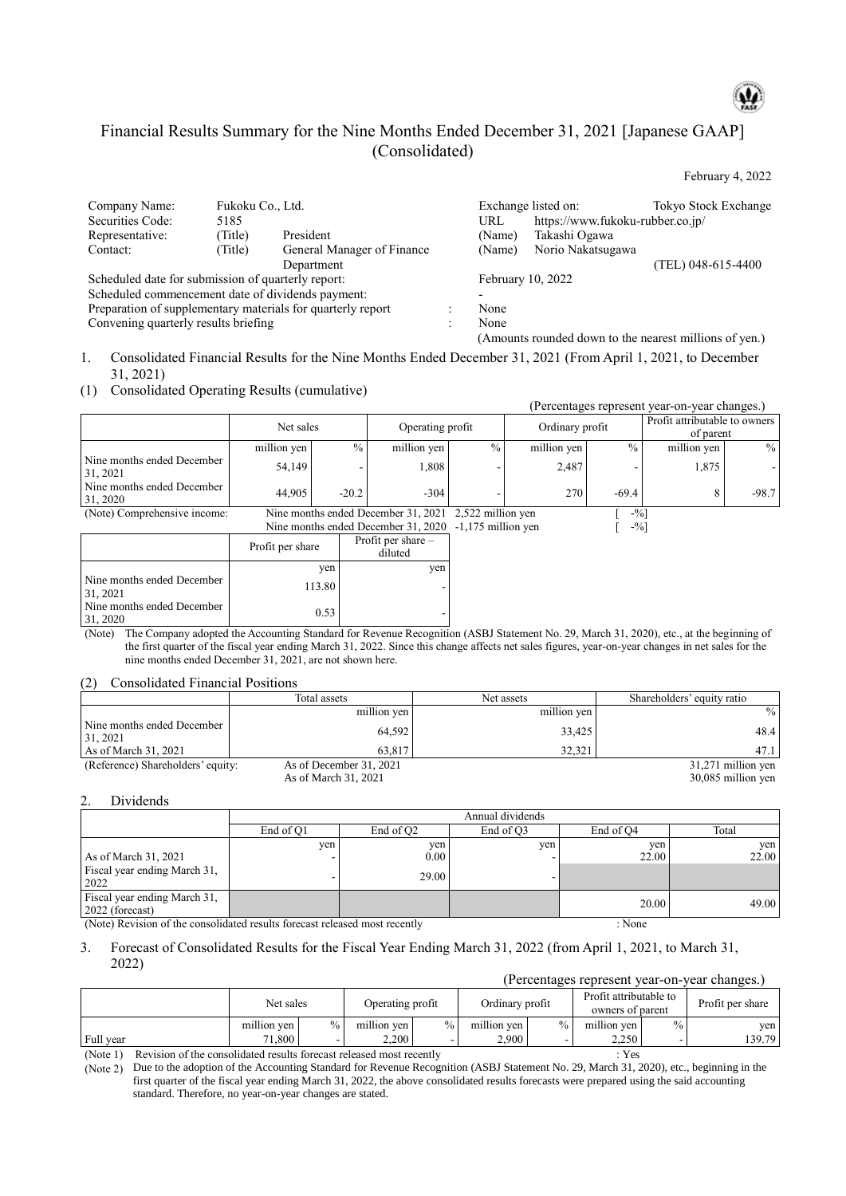# Financial Results Summary for the Nine Months Ended December 31, 2021 [Japanese GAAP] (Consolidated)

February 4, 2022

| Company Name:                                               | Fukoku Co., Ltd. |                            |                   | Exchange listed on:                                    | Tokyo Stock Exchange |
|-------------------------------------------------------------|------------------|----------------------------|-------------------|--------------------------------------------------------|----------------------|
| Securities Code:                                            | 5185             |                            | URL               | https://www.fukoku-rubber.co.jp/                       |                      |
| Representative:                                             | Title)           | President                  | (Name)            | Takashi Ogawa                                          |                      |
| Contact:                                                    | (Title)          | General Manager of Finance | (Name)            | Norio Nakatsugawa                                      |                      |
|                                                             |                  | Department                 |                   |                                                        | (TEL) 048-615-4400   |
| Scheduled date for submission of quarterly report:          |                  |                            | February 10, 2022 |                                                        |                      |
| Scheduled commencement date of dividends payment:           |                  |                            |                   |                                                        |                      |
| Preparation of supplementary materials for quarterly report |                  |                            | None              |                                                        |                      |
| Convening quarterly results briefing                        |                  |                            | None              |                                                        |                      |
|                                                             |                  |                            |                   | (Amounts rounded down to the nearest millions of yen.) |                      |

1. Consolidated Financial Results for the Nine Months Ended December 31, 2021 (From April 1, 2021, to December 31, 2021)

(1) Consolidated Operating Results (cumulative)

| $\eta$                                                              |                  |               |                                     |                      |                 |               | (Percentages represent year-on-year changes.) |               |
|---------------------------------------------------------------------|------------------|---------------|-------------------------------------|----------------------|-----------------|---------------|-----------------------------------------------|---------------|
|                                                                     | Net sales        |               | Operating profit                    |                      | Ordinary profit |               | Profit attributable to owners<br>of parent    |               |
|                                                                     | million yen      | $\frac{0}{0}$ | million yen                         | $\frac{0}{0}$        | million yen     | $\frac{0}{0}$ | million yen                                   | $\frac{0}{0}$ |
| Nine months ended December<br>31, 2021                              | 54,149           |               | 1,808                               |                      | 2,487           |               | 1,875                                         |               |
| Nine months ended December<br>31, 2020                              | 44,905           | $-20.2$       | $-304$                              |                      | 270             | $-69.4$       | 8                                             | $-98.7$       |
| (Note) Comprehensive income:<br>Nine months ended December 31, 2021 |                  |               | 2,522 million yen                   |                      | $-9/0$ ]        |               |                                               |               |
|                                                                     |                  |               | Nine months ended December 31, 2020 | $-1,175$ million yen |                 | $-9/0$        |                                               |               |
|                                                                     | Profit per share |               | Profit per share $-$<br>diluted     |                      |                 |               |                                               |               |
|                                                                     |                  | yen           | yen                                 |                      |                 |               |                                               |               |
| Nine months ended December<br>31, 2021                              |                  | 113.80        |                                     |                      |                 |               |                                               |               |
| Nine months ended December<br>31, 2020                              |                  | 0.53          |                                     |                      |                 |               |                                               |               |

(Note) The Company adopted the Accounting Standard for Revenue Recognition (ASBJ Statement No. 29, March 31, 2020), etc., at the beginning of the first quarter of the fiscal year ending March 31, 2022. Since this change affects net sales figures, year-on-year changes in net sales for the nine months ended December 31, 2021, are not shown here.

(2) Consolidated Financial Positions

|                                        | Total assets            | Net assets  | Shareholders' equity ratio |
|----------------------------------------|-------------------------|-------------|----------------------------|
|                                        | million yen             | million yen | $\%$                       |
| Nine months ended December<br>31, 2021 | 64.592                  | 33,425      | 48.4                       |
| As of March $31, 2021$                 | 63.817                  | 32,321      | 47.1                       |
| (Reference) Shareholders' equity:      | As of December 31, 2021 |             | 31,271 million yen         |
|                                        | As of March 31, 2021    |             | 30,085 million yen         |

2. Dividends

|           |                       | Annual dividends |           |                |
|-----------|-----------------------|------------------|-----------|----------------|
| End of O1 | End of Q <sub>2</sub> | End of O3        | End of O4 | Total          |
| yen       | yen                   | yen              | yen       | yen            |
|           | 0.00                  |                  |           | 22.00          |
|           | 29.00                 |                  |           |                |
|           |                       |                  |           | 49.00          |
|           | 1.1.1                 |                  |           | 22.00<br>20.00 |

(Note) Revision of the consolidated results forecast released most recently : None

#### 3. Forecast of Consolidated Results for the Fiscal Year Ending March 31, 2022 (from April 1, 2021, to March 31, 2022)

|               |                    |        |                  |               |                 |               | T Credittages represent vear on            |      | $\sqrt{2}$       |
|---------------|--------------------|--------|------------------|---------------|-----------------|---------------|--------------------------------------------|------|------------------|
|               | Net sales          |        | Operating profit |               | Ordinary profit |               | Profit attributable to<br>owners of parent |      | Profit per share |
|               | million ven        | $\%$ . | million ven      | $\frac{0}{6}$ | million ven     | $\frac{0}{0}$ | million ven                                | $\%$ | ven l            |
| Full year     | 71.800             |        | 2.200            |               | 2.900           |               | 2.250                                      |      | 139.79           |
| $\sim$ $\sim$ | $\cdots$<br>$\sim$ |        |                  |               |                 |               | --                                         |      |                  |

(Percentages represent year-on-year changes.)

(Note 1) Revision of the consolidated results forecast released most recently : Yes

(Note 2) Due to the adoption of the Accounting Standard for Revenue Recognition (ASBJ Statement No. 29, March 31, 2020), etc., beginning in the first quarter of the fiscal year ending March 31, 2022, the above consolidated results forecasts were prepared using the said accounting standard. Therefore, no year-on-year changes are stated.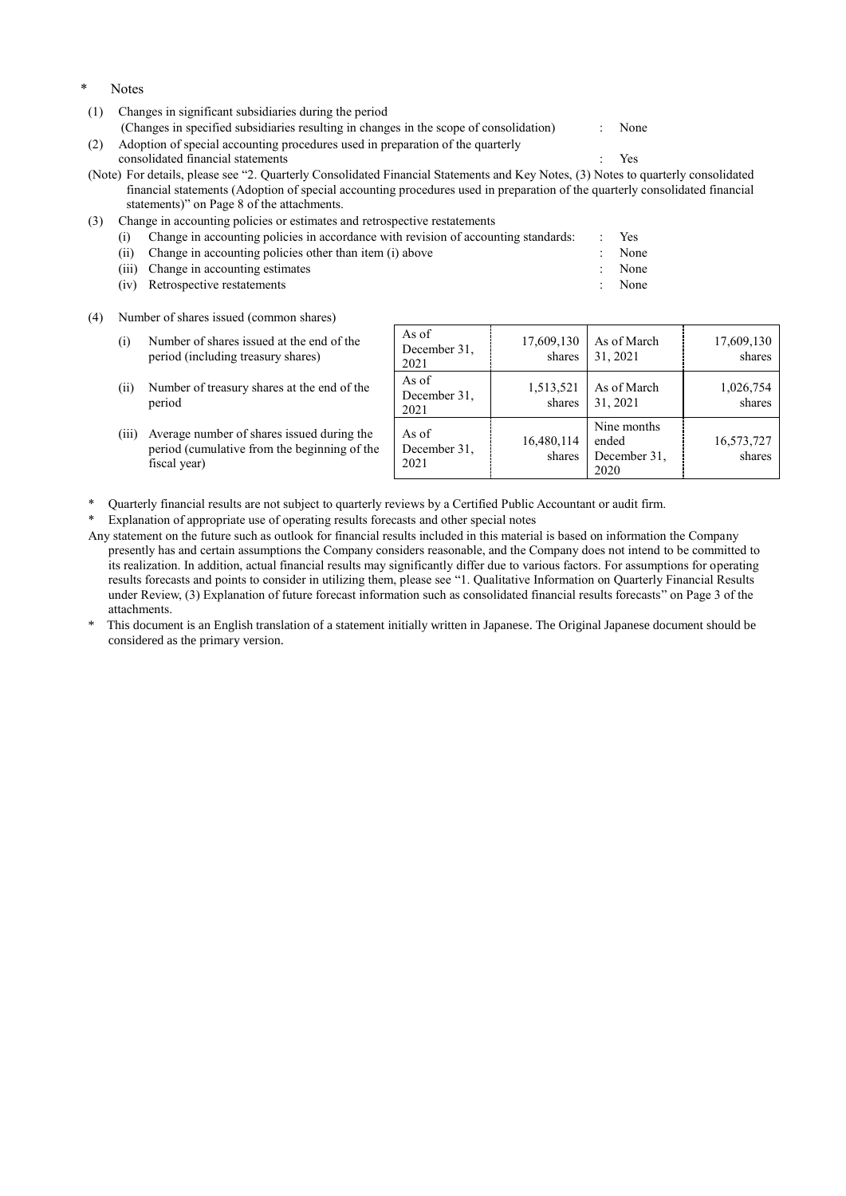- Notes
- (1) Changes in significant subsidiaries during the period

(Changes in specified subsidiaries resulting in changes in the scope of consolidation) : None

(2) Adoption of special accounting procedures used in preparation of the quarterly consolidated financial statements : Yes

(Note) For details, please see "2. Quarterly Consolidated Financial Statements and Key Notes, (3) Notes to quarterly consolidated financial statements (Adoption of special accounting procedures used in preparation of the quarterly consolidated financial statements)" on Page 8 of the attachments.

(3) Change in accounting policies or estimates and retrospective restatements

|  | Change in accounting policies in accordance with revision of accounting standards: | Yes    |
|--|------------------------------------------------------------------------------------|--------|
|  | (ii) Change in accounting policies other than item (i) above                       | : None |
|  | (iii) Change in accounting estimates                                               | None   |
|  | (iv) Retrospective restatements                                                    | None   |

(4) Number of shares issued (common shares)

| (i)   | Number of shares issued at the end of the<br>period (including treasury shares)                            | As of<br>December 31,<br>2021 | 17,609,130<br>shares | As of March<br>31, 2021                      | 17,609,130<br>shares |
|-------|------------------------------------------------------------------------------------------------------------|-------------------------------|----------------------|----------------------------------------------|----------------------|
| (ii)  | Number of treasury shares at the end of the<br>period                                                      | As of<br>December 31,<br>2021 | 1,513,521<br>shares  | As of March<br>31, 2021                      | 1,026,754<br>shares  |
| (iii) | Average number of shares issued during the<br>period (cumulative from the beginning of the<br>fiscal year) | As of<br>December 31,<br>2021 | 16,480,114<br>shares | Nine months<br>ended<br>December 31,<br>2020 | 16,573,727<br>shares |

Quarterly financial results are not subject to quarterly reviews by a Certified Public Accountant or audit firm.

Explanation of appropriate use of operating results forecasts and other special notes

Any statement on the future such as outlook for financial results included in this material is based on information the Company presently has and certain assumptions the Company considers reasonable, and the Company does not intend to be committed to its realization. In addition, actual financial results may significantly differ due to various factors. For assumptions for operating results forecasts and points to consider in utilizing them, please see "1. Qualitative Information on Quarterly Financial Results under Review, (3) Explanation of future forecast information such as consolidated financial results forecasts" on Page 3 of the attachments.

This document is an English translation of a statement initially written in Japanese. The Original Japanese document should be considered as the primary version.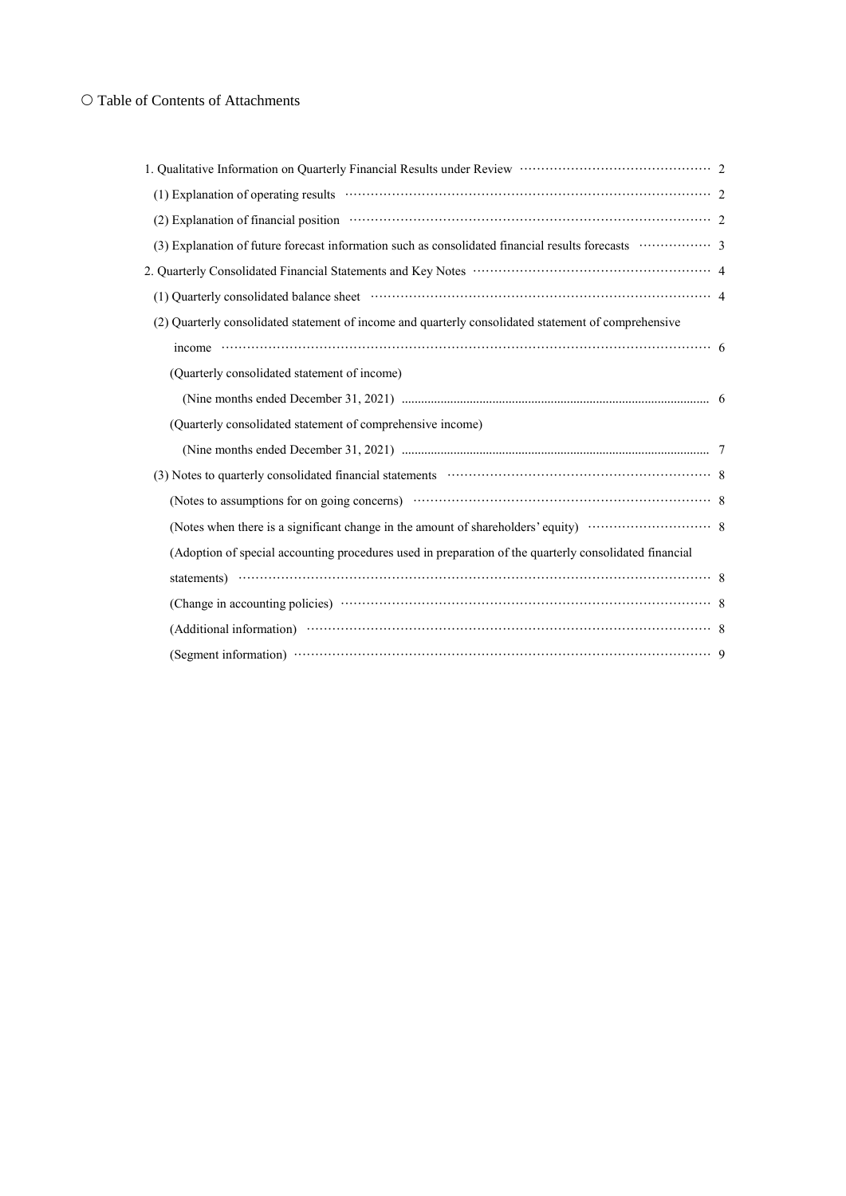## O Table of Contents of Attachments

| (2) Quarterly consolidated statement of income and quarterly consolidated statement of comprehensive              |  |
|-------------------------------------------------------------------------------------------------------------------|--|
|                                                                                                                   |  |
| (Quarterly consolidated statement of income)                                                                      |  |
|                                                                                                                   |  |
| (Quarterly consolidated statement of comprehensive income)                                                        |  |
|                                                                                                                   |  |
| (3) Notes to quarterly consolidated financial statements (2) Notes to quarterly consolidated financial statements |  |
|                                                                                                                   |  |
|                                                                                                                   |  |
| (Adoption of special accounting procedures used in preparation of the quarterly consolidated financial            |  |
| statements) $\cdots$                                                                                              |  |
|                                                                                                                   |  |
|                                                                                                                   |  |
|                                                                                                                   |  |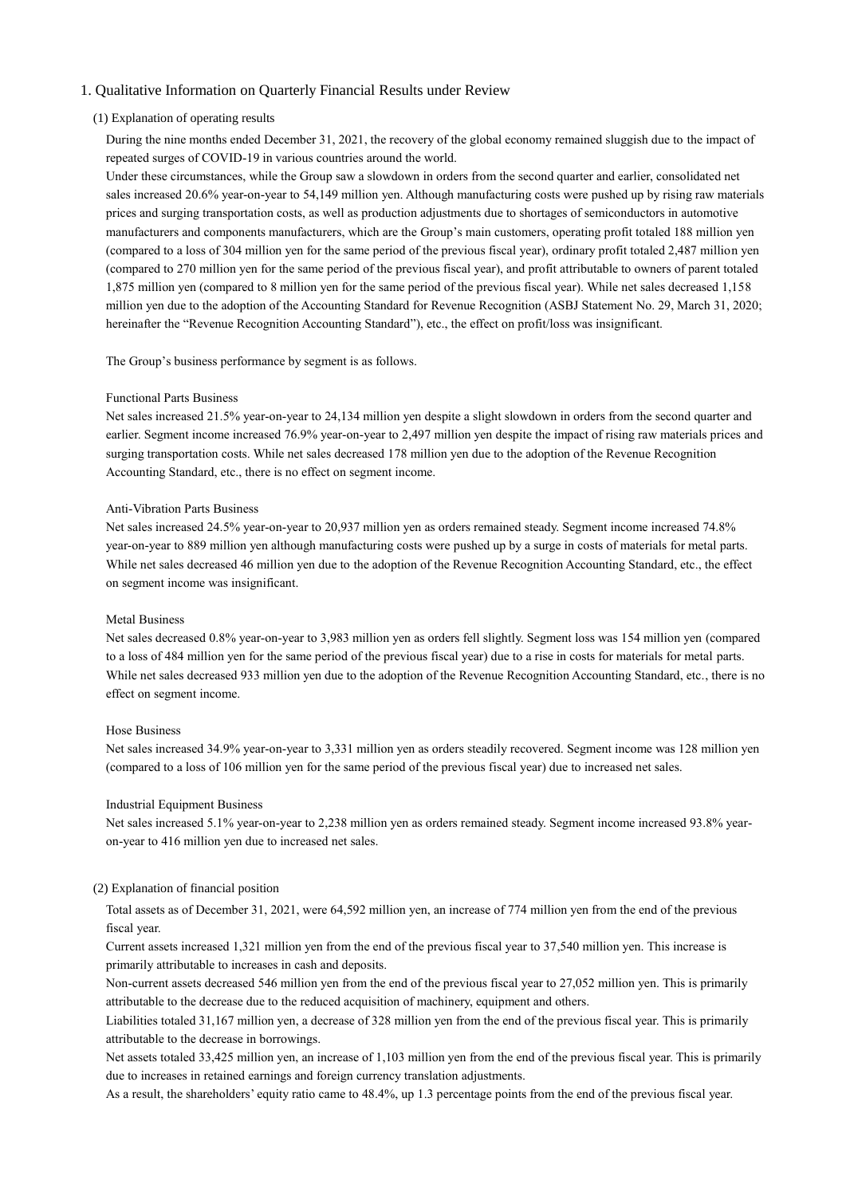### 1. Qualitative Information on Quarterly Financial Results under Review

#### (1) Explanation of operating results

During the nine months ended December 31, 2021, the recovery of the global economy remained sluggish due to the impact of repeated surges of COVID-19 in various countries around the world.

Under these circumstances, while the Group saw a slowdown in orders from the second quarter and earlier, consolidated net sales increased 20.6% year-on-year to 54,149 million yen. Although manufacturing costs were pushed up by rising raw materials prices and surging transportation costs, as well as production adjustments due to shortages of semiconductors in automotive manufacturers and components manufacturers, which are the Group's main customers, operating profit totaled 188 million yen (compared to a loss of 304 million yen for the same period of the previous fiscal year), ordinary profit totaled 2,487 million yen (compared to 270 million yen for the same period of the previous fiscal year), and profit attributable to owners of parent totaled 1,875 million yen (compared to 8 million yen for the same period of the previous fiscal year). While net sales decreased 1,158 million yen due to the adoption of the Accounting Standard for Revenue Recognition (ASBJ Statement No. 29, March 31, 2020; hereinafter the "Revenue Recognition Accounting Standard"), etc., the effect on profit/loss was insignificant.

The Group's business performance by segment is as follows.

#### Functional Parts Business

Net sales increased 21.5% year-on-year to 24,134 million yen despite a slight slowdown in orders from the second quarter and earlier. Segment income increased 76.9% year-on-year to 2,497 million yen despite the impact of rising raw materials prices and surging transportation costs. While net sales decreased 178 million yen due to the adoption of the Revenue Recognition Accounting Standard, etc., there is no effect on segment income.

#### Anti-Vibration Parts Business

Net sales increased 24.5% year-on-year to 20,937 million yen as orders remained steady. Segment income increased 74.8% year-on-year to 889 million yen although manufacturing costs were pushed up by a surge in costs of materials for metal parts. While net sales decreased 46 million yen due to the adoption of the Revenue Recognition Accounting Standard, etc., the effect on segment income was insignificant.

#### Metal Business

Net sales decreased 0.8% year-on-year to 3,983 million yen as orders fell slightly. Segment loss was 154 million yen (compared to a loss of 484 million yen for the same period of the previous fiscal year) due to a rise in costs for materials for metal parts. While net sales decreased 933 million yen due to the adoption of the Revenue Recognition Accounting Standard, etc., there is no effect on segment income.

#### Hose Business

Net sales increased 34.9% year-on-year to 3,331 million yen as orders steadily recovered. Segment income was 128 million yen (compared to a loss of 106 million yen for the same period of the previous fiscal year) due to increased net sales.

#### Industrial Equipment Business

Net sales increased 5.1% year-on-year to 2,238 million yen as orders remained steady. Segment income increased 93.8% yearon-year to 416 million yen due to increased net sales.

#### (2) Explanation of financial position

Total assets as of December 31, 2021, were 64,592 million yen, an increase of 774 million yen from the end of the previous fiscal year.

Current assets increased 1,321 million yen from the end of the previous fiscal year to 37,540 million yen. This increase is primarily attributable to increases in cash and deposits.

Non-current assets decreased 546 million yen from the end of the previous fiscal year to 27,052 million yen. This is primarily attributable to the decrease due to the reduced acquisition of machinery, equipment and others.

Liabilities totaled 31,167 million yen, a decrease of 328 million yen from the end of the previous fiscal year. This is primarily attributable to the decrease in borrowings.

Net assets totaled 33,425 million yen, an increase of 1,103 million yen from the end of the previous fiscal year. This is primarily due to increases in retained earnings and foreign currency translation adjustments.

As a result, the shareholders' equity ratio came to 48.4%, up 1.3 percentage points from the end of the previous fiscal year.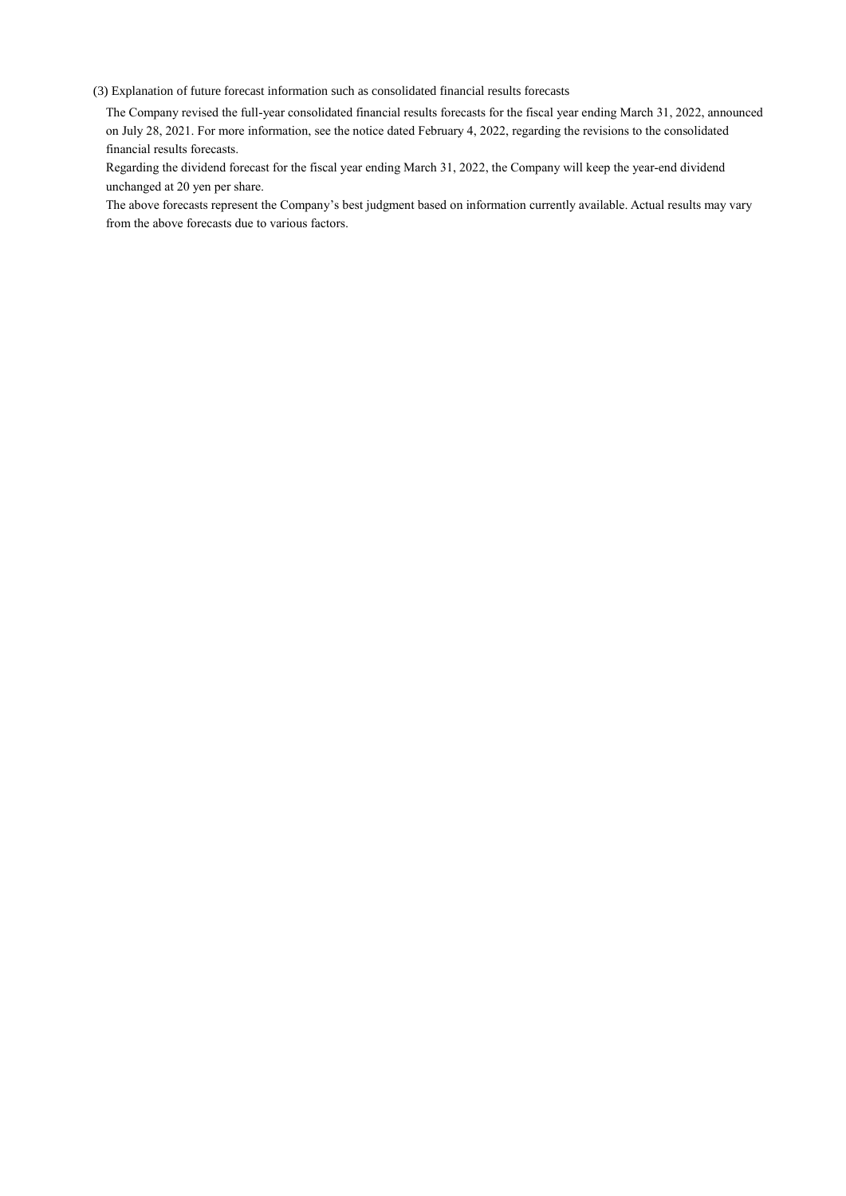(3) Explanation of future forecast information such as consolidated financial results forecasts

The Company revised the full-year consolidated financial results forecasts for the fiscal year ending March 31, 2022, announced on July 28, 2021. For more information, see the notice dated February 4, 2022, regarding the revisions to the consolidated financial results forecasts.

Regarding the dividend forecast for the fiscal year ending March 31, 2022, the Company will keep the year-end dividend unchanged at 20 yen per share.

The above forecasts represent the Company's best judgment based on information currently available. Actual results may vary from the above forecasts due to various factors.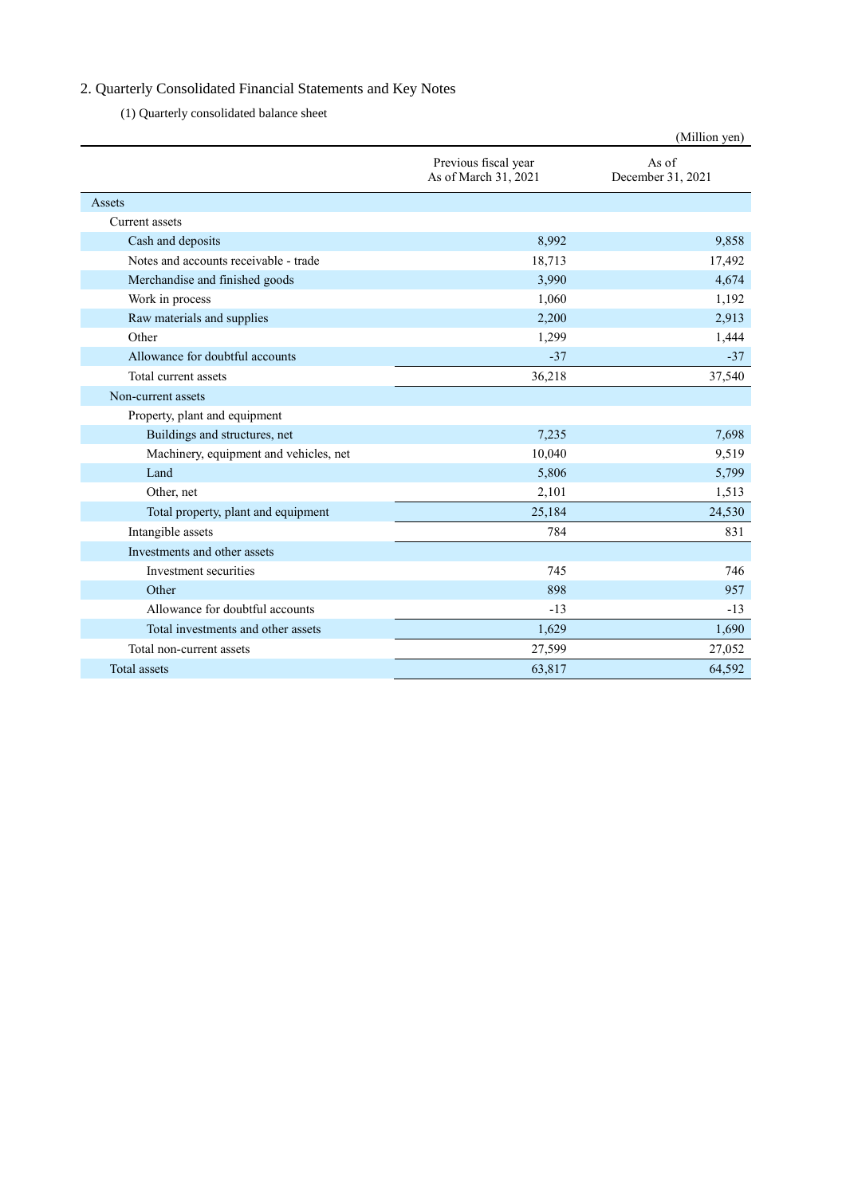# 2. Quarterly Consolidated Financial Statements and Key Notes

(1) Quarterly consolidated balance sheet

|                                        |                                              | (Million yen)              |
|----------------------------------------|----------------------------------------------|----------------------------|
|                                        | Previous fiscal year<br>As of March 31, 2021 | As of<br>December 31, 2021 |
| Assets                                 |                                              |                            |
| Current assets                         |                                              |                            |
| Cash and deposits                      | 8,992                                        | 9,858                      |
| Notes and accounts receivable - trade  | 18,713                                       | 17,492                     |
| Merchandise and finished goods         | 3,990                                        | 4,674                      |
| Work in process                        | 1,060                                        | 1,192                      |
| Raw materials and supplies             | 2,200                                        | 2,913                      |
| Other                                  | 1,299                                        | 1,444                      |
| Allowance for doubtful accounts        | $-37$                                        | $-37$                      |
| Total current assets                   | 36,218                                       | 37,540                     |
| Non-current assets                     |                                              |                            |
| Property, plant and equipment          |                                              |                            |
| Buildings and structures, net          | 7,235                                        | 7,698                      |
| Machinery, equipment and vehicles, net | 10,040                                       | 9,519                      |
| Land                                   | 5,806                                        | 5,799                      |
| Other, net                             | 2,101                                        | 1,513                      |
| Total property, plant and equipment    | 25,184                                       | 24,530                     |
| Intangible assets                      | 784                                          | 831                        |
| Investments and other assets           |                                              |                            |
| Investment securities                  | 745                                          | 746                        |
| Other                                  | 898                                          | 957                        |
| Allowance for doubtful accounts        | $-13$                                        | $-13$                      |
| Total investments and other assets     | 1,629                                        | 1,690                      |
| Total non-current assets               | 27,599                                       | 27,052                     |
| Total assets                           | 63,817                                       | 64.592                     |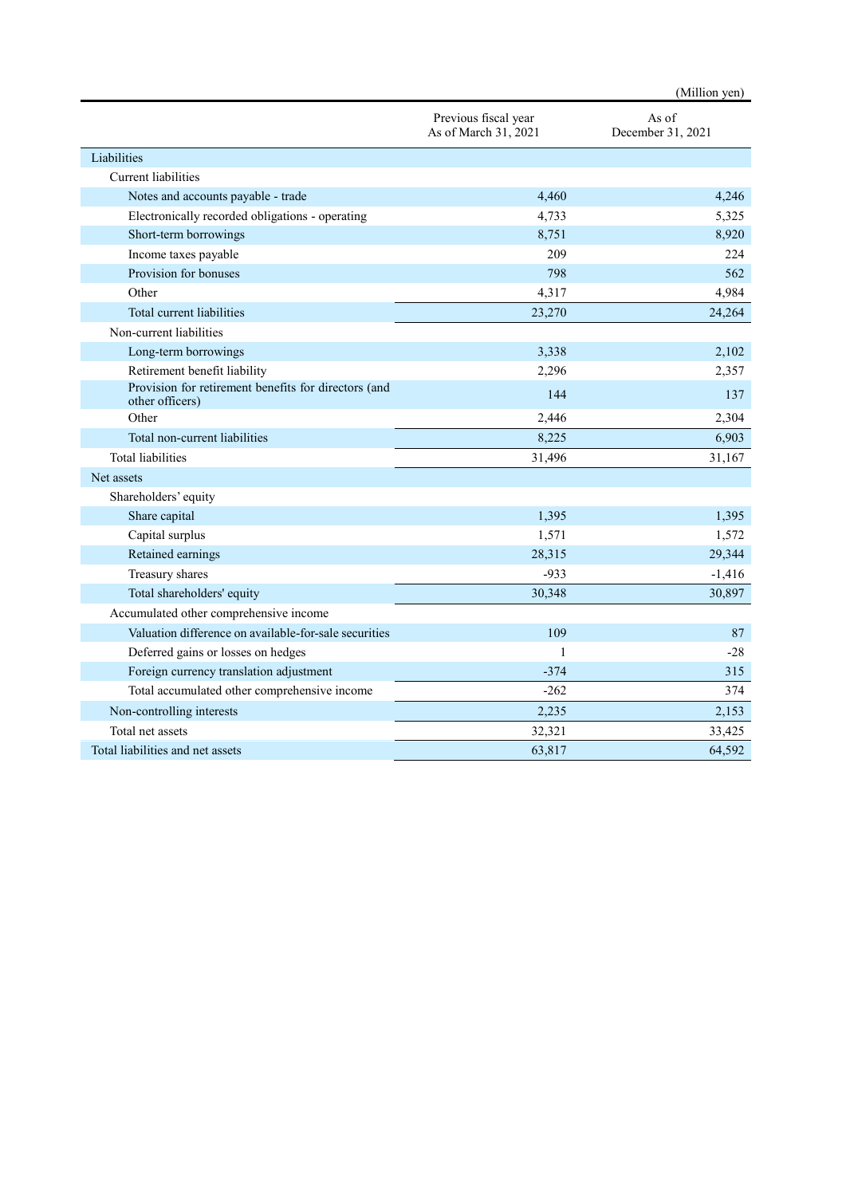|                                                                         |                                              | (Million yen)              |
|-------------------------------------------------------------------------|----------------------------------------------|----------------------------|
|                                                                         | Previous fiscal year<br>As of March 31, 2021 | As of<br>December 31, 2021 |
| Liabilities                                                             |                                              |                            |
| <b>Current</b> liabilities                                              |                                              |                            |
| Notes and accounts payable - trade                                      | 4,460                                        | 4,246                      |
| Electronically recorded obligations - operating                         | 4,733                                        | 5,325                      |
| Short-term borrowings                                                   | 8,751                                        | 8,920                      |
| Income taxes payable                                                    | 209                                          | 224                        |
| Provision for bonuses                                                   | 798                                          | 562                        |
| Other                                                                   | 4,317                                        | 4,984                      |
| Total current liabilities                                               | 23,270                                       | 24,264                     |
| Non-current liabilities                                                 |                                              |                            |
| Long-term borrowings                                                    | 3,338                                        | 2,102                      |
| Retirement benefit liability                                            | 2,296                                        | 2,357                      |
| Provision for retirement benefits for directors (and<br>other officers) | 144                                          | 137                        |
| Other                                                                   | 2,446                                        | 2,304                      |
| Total non-current liabilities                                           | 8,225                                        | 6,903                      |
| <b>Total liabilities</b>                                                | 31,496                                       | 31,167                     |
| Net assets                                                              |                                              |                            |
| Shareholders' equity                                                    |                                              |                            |
| Share capital                                                           | 1,395                                        | 1,395                      |
| Capital surplus                                                         | 1,571                                        | 1,572                      |
| Retained earnings                                                       | 28,315                                       | 29,344                     |
| Treasury shares                                                         | $-933$                                       | $-1,416$                   |
| Total shareholders' equity                                              | 30,348                                       | 30,897                     |
| Accumulated other comprehensive income                                  |                                              |                            |
| Valuation difference on available-for-sale securities                   | 109                                          | 87                         |
| Deferred gains or losses on hedges                                      | $\mathbf{1}$                                 | $-28$                      |
| Foreign currency translation adjustment                                 | $-374$                                       | 315                        |
| Total accumulated other comprehensive income                            | $-262$                                       | 374                        |
| Non-controlling interests                                               | 2,235                                        | 2,153                      |
| Total net assets                                                        | 32,321                                       | 33,425                     |
| Total liabilities and net assets                                        | 63,817                                       | 64,592                     |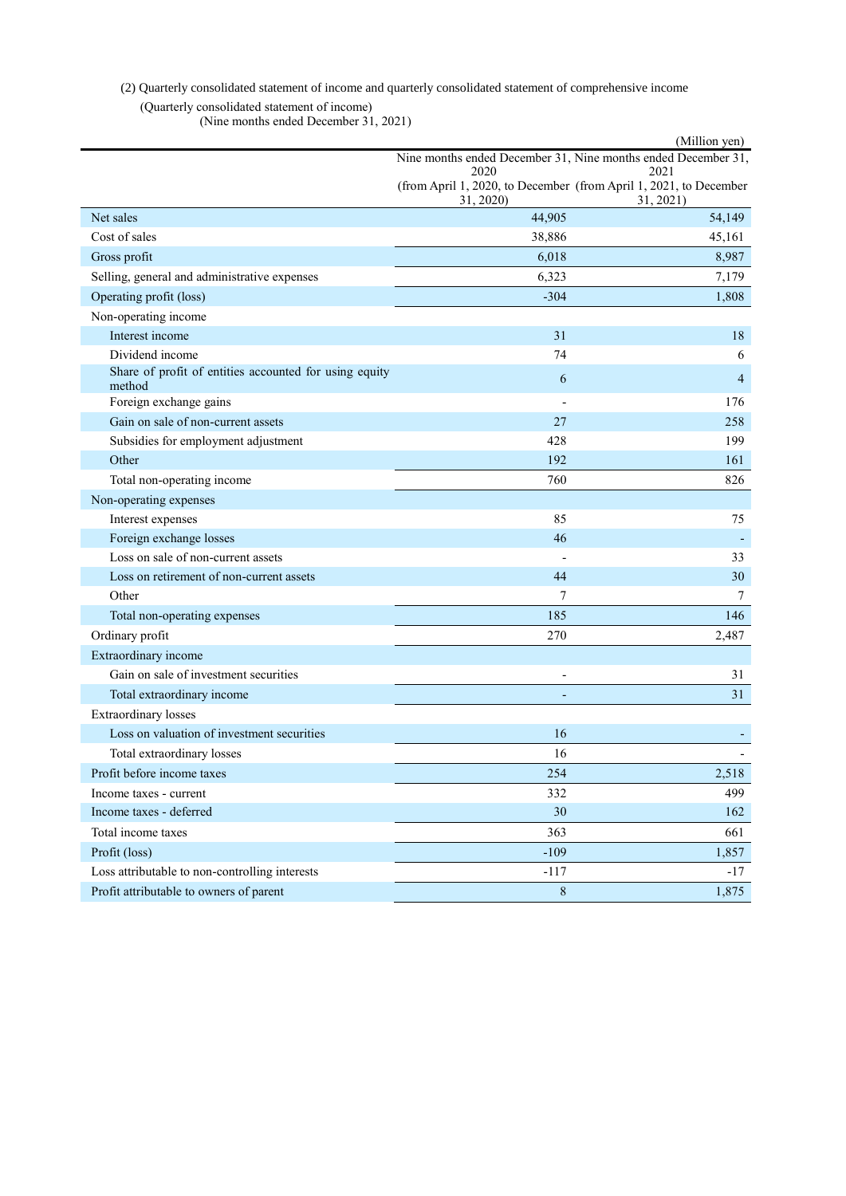# (2) Quarterly consolidated statement of income and quarterly consolidated statement of comprehensive income

(Quarterly consolidated statement of income) (Nine months ended December 31, 2021)

|                                                                  |           | (Million yen)                                                                  |
|------------------------------------------------------------------|-----------|--------------------------------------------------------------------------------|
|                                                                  | 2020      | Nine months ended December 31, Nine months ended December 31,<br>2021          |
|                                                                  | 31, 2020) | (from April 1, 2020, to December (from April 1, 2021, to December<br>31, 2021) |
| Net sales                                                        | 44,905    | 54,149                                                                         |
| Cost of sales                                                    | 38,886    | 45,161                                                                         |
| Gross profit                                                     | 6,018     | 8,987                                                                          |
| Selling, general and administrative expenses                     | 6,323     | 7,179                                                                          |
| Operating profit (loss)                                          | $-304$    | 1,808                                                                          |
| Non-operating income                                             |           |                                                                                |
| Interest income                                                  | 31        | 18                                                                             |
| Dividend income                                                  | 74        | 6                                                                              |
| Share of profit of entities accounted for using equity<br>method | 6         | $\overline{4}$                                                                 |
| Foreign exchange gains                                           |           | 176                                                                            |
| Gain on sale of non-current assets                               | 27        | 258                                                                            |
| Subsidies for employment adjustment                              | 428       | 199                                                                            |
| Other                                                            | 192       | 161                                                                            |
| Total non-operating income                                       | 760       | 826                                                                            |
| Non-operating expenses                                           |           |                                                                                |
| Interest expenses                                                | 85        | 75                                                                             |
| Foreign exchange losses                                          | 46        |                                                                                |
| Loss on sale of non-current assets                               |           | 33                                                                             |
| Loss on retirement of non-current assets                         | 44        | 30                                                                             |
| Other                                                            | 7         | 7                                                                              |
| Total non-operating expenses                                     | 185       | 146                                                                            |
| Ordinary profit                                                  | 270       | 2,487                                                                          |
| Extraordinary income                                             |           |                                                                                |
| Gain on sale of investment securities                            |           | 31                                                                             |
| Total extraordinary income                                       |           | 31                                                                             |
| <b>Extraordinary</b> losses                                      |           |                                                                                |
| Loss on valuation of investment securities                       | 16        |                                                                                |
| Total extraordinary losses                                       | 16        |                                                                                |
| Profit before income taxes                                       | 254       | 2,518                                                                          |
| Income taxes - current                                           | 332       | 499                                                                            |
| Income taxes - deferred                                          | 30        | 162                                                                            |
| Total income taxes                                               | 363       | 661                                                                            |
| Profit (loss)                                                    | $-109$    | 1,857                                                                          |
| Loss attributable to non-controlling interests                   | $-117$    | $-17$                                                                          |
| Profit attributable to owners of parent                          | $\,8\,$   | 1,875                                                                          |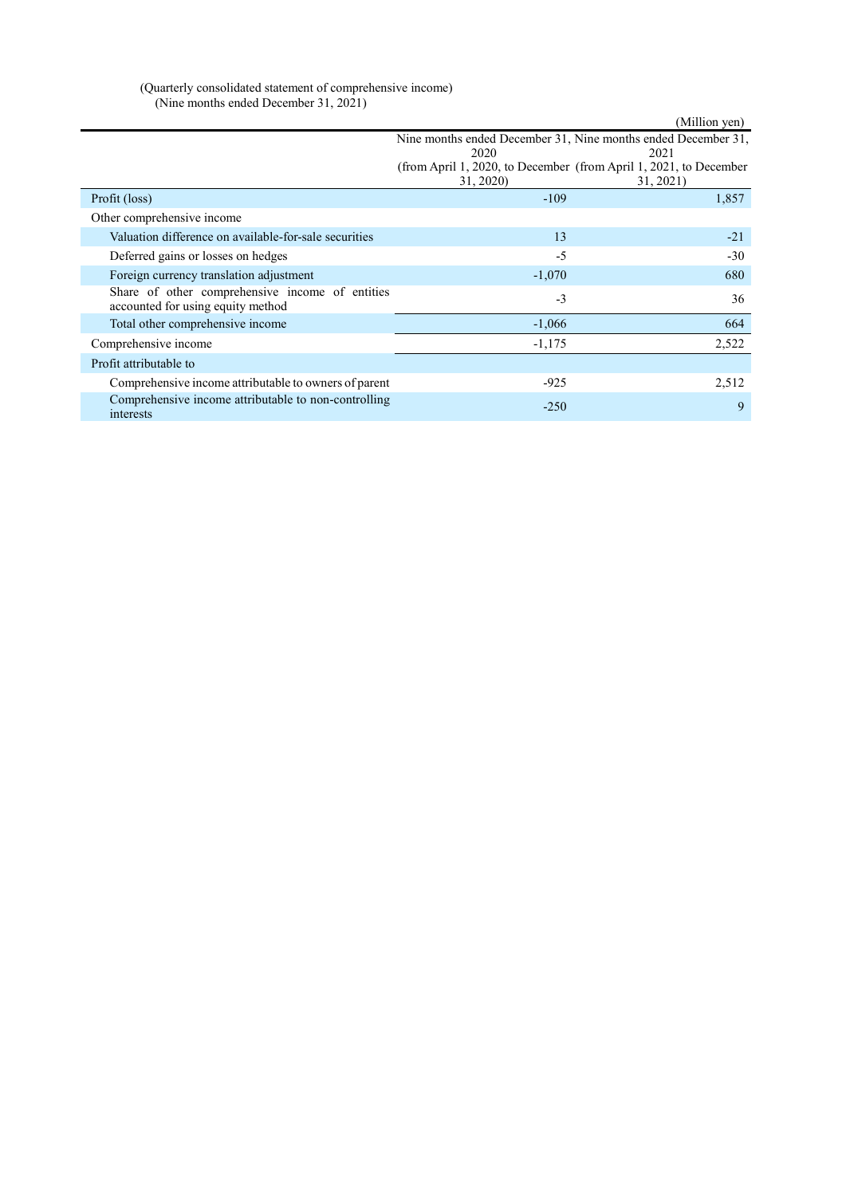| (Quarterly consolidated statement of comprehensive income) |  |
|------------------------------------------------------------|--|
| (Nine months ended December 31, 2021)                      |  |

|                                                                                      |           | (Million yen)                                                     |
|--------------------------------------------------------------------------------------|-----------|-------------------------------------------------------------------|
|                                                                                      |           | Nine months ended December 31, Nine months ended December 31,     |
|                                                                                      | 2020      | 2021                                                              |
|                                                                                      |           | (from April 1, 2020, to December (from April 1, 2021, to December |
|                                                                                      | 31, 2020) | 31, 2021)                                                         |
| Profit (loss)                                                                        | $-109$    | 1,857                                                             |
| Other comprehensive income                                                           |           |                                                                   |
| Valuation difference on available-for-sale securities                                | 13        | $-21$                                                             |
| Deferred gains or losses on hedges                                                   | $-5$      | $-30$                                                             |
| Foreign currency translation adjustment                                              | $-1,070$  | 680                                                               |
| Share of other comprehensive income of entities<br>accounted for using equity method | $-3$      | 36                                                                |
| Total other comprehensive income                                                     | $-1,066$  | 664                                                               |
| Comprehensive income                                                                 | $-1,175$  | 2,522                                                             |
| Profit attributable to                                                               |           |                                                                   |
| Comprehensive income attributable to owners of parent                                | $-925$    | 2,512                                                             |
| Comprehensive income attributable to non-controlling<br>interests                    | $-250$    | 9                                                                 |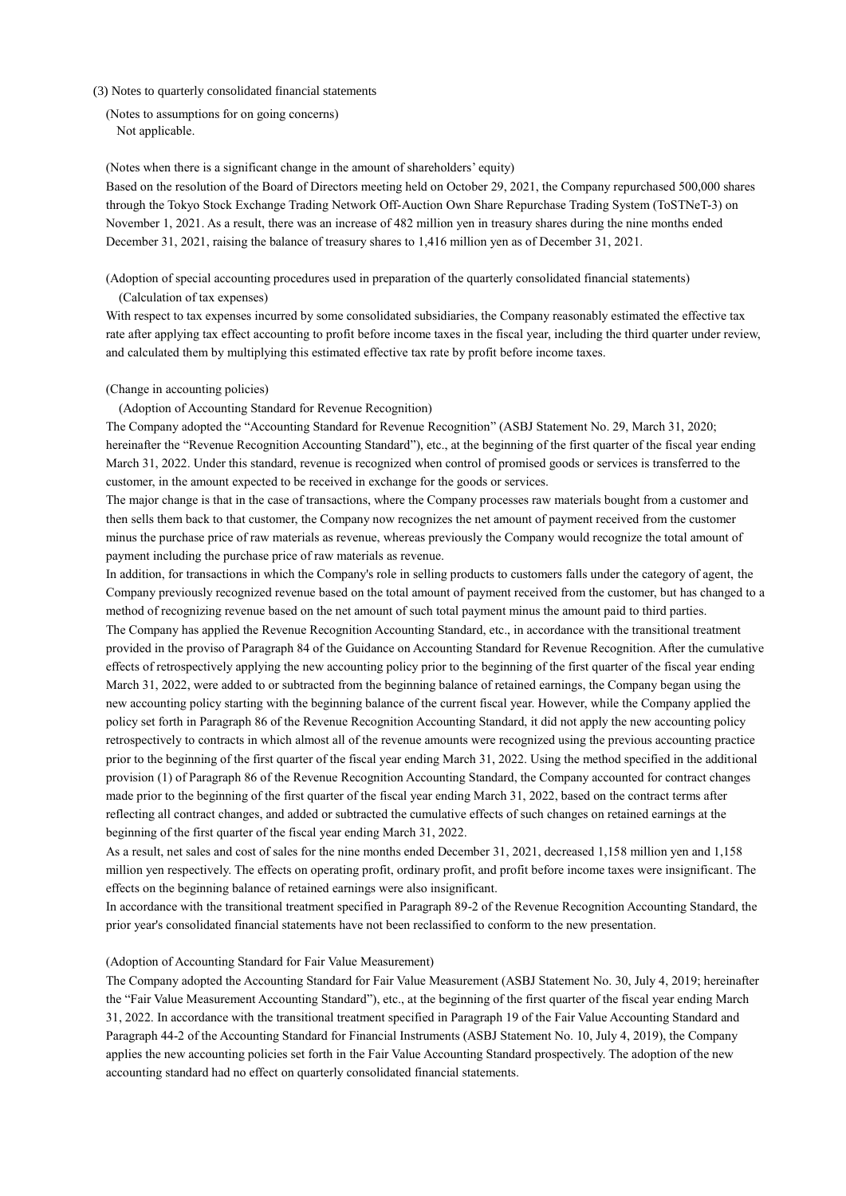#### (3) Notes to quarterly consolidated financial statements

(Notes to assumptions for on going concerns) Not applicable.

(Notes when there is a significant change in the amount of shareholders' equity)

Based on the resolution of the Board of Directors meeting held on October 29, 2021, the Company repurchased 500,000 shares through the Tokyo Stock Exchange Trading Network Off-Auction Own Share Repurchase Trading System (ToSTNeT-3) on November 1, 2021. As a result, there was an increase of 482 million yen in treasury shares during the nine months ended December 31, 2021, raising the balance of treasury shares to 1,416 million yen as of December 31, 2021.

(Adoption of special accounting procedures used in preparation of the quarterly consolidated financial statements) (Calculation of tax expenses)

With respect to tax expenses incurred by some consolidated subsidiaries, the Company reasonably estimated the effective tax rate after applying tax effect accounting to profit before income taxes in the fiscal year, including the third quarter under review, and calculated them by multiplying this estimated effective tax rate by profit before income taxes.

#### (Change in accounting policies)

(Adoption of Accounting Standard for Revenue Recognition)

The Company adopted the "Accounting Standard for Revenue Recognition" (ASBJ Statement No. 29, March 31, 2020; hereinafter the "Revenue Recognition Accounting Standard"), etc., at the beginning of the first quarter of the fiscal year ending March 31, 2022. Under this standard, revenue is recognized when control of promised goods or services is transferred to the customer, in the amount expected to be received in exchange for the goods or services.

The major change is that in the case of transactions, where the Company processes raw materials bought from a customer and then sells them back to that customer, the Company now recognizes the net amount of payment received from the customer minus the purchase price of raw materials as revenue, whereas previously the Company would recognize the total amount of payment including the purchase price of raw materials as revenue.

In addition, for transactions in which the Company's role in selling products to customers falls under the category of agent, the Company previously recognized revenue based on the total amount of payment received from the customer, but has changed to a method of recognizing revenue based on the net amount of such total payment minus the amount paid to third parties. The Company has applied the Revenue Recognition Accounting Standard, etc., in accordance with the transitional treatment provided in the proviso of Paragraph 84 of the Guidance on Accounting Standard for Revenue Recognition. After the cumulative effects of retrospectively applying the new accounting policy prior to the beginning of the first quarter of the fiscal year ending March 31, 2022, were added to or subtracted from the beginning balance of retained earnings, the Company began using the new accounting policy starting with the beginning balance of the current fiscal year. However, while the Company applied the policy set forth in Paragraph 86 of the Revenue Recognition Accounting Standard, it did not apply the new accounting policy retrospectively to contracts in which almost all of the revenue amounts were recognized using the previous accounting practice prior to the beginning of the first quarter of the fiscal year ending March 31, 2022. Using the method specified in the additional provision (1) of Paragraph 86 of the Revenue Recognition Accounting Standard, the Company accounted for contract changes made prior to the beginning of the first quarter of the fiscal year ending March 31, 2022, based on the contract terms after reflecting all contract changes, and added or subtracted the cumulative effects of such changes on retained earnings at the beginning of the first quarter of the fiscal year ending March 31, 2022.

As a result, net sales and cost of sales for the nine months ended December 31, 2021, decreased 1,158 million yen and 1,158 million yen respectively. The effects on operating profit, ordinary profit, and profit before income taxes were insignificant. The effects on the beginning balance of retained earnings were also insignificant.

In accordance with the transitional treatment specified in Paragraph 89-2 of the Revenue Recognition Accounting Standard, the prior year's consolidated financial statements have not been reclassified to conform to the new presentation.

#### (Adoption of Accounting Standard for Fair Value Measurement)

The Company adopted the Accounting Standard for Fair Value Measurement (ASBJ Statement No. 30, July 4, 2019; hereinafter the "Fair Value Measurement Accounting Standard"), etc., at the beginning of the first quarter of the fiscal year ending March 31, 2022. In accordance with the transitional treatment specified in Paragraph 19 of the Fair Value Accounting Standard and Paragraph 44-2 of the Accounting Standard for Financial Instruments (ASBJ Statement No. 10, July 4, 2019), the Company applies the new accounting policies set forth in the Fair Value Accounting Standard prospectively. The adoption of the new accounting standard had no effect on quarterly consolidated financial statements.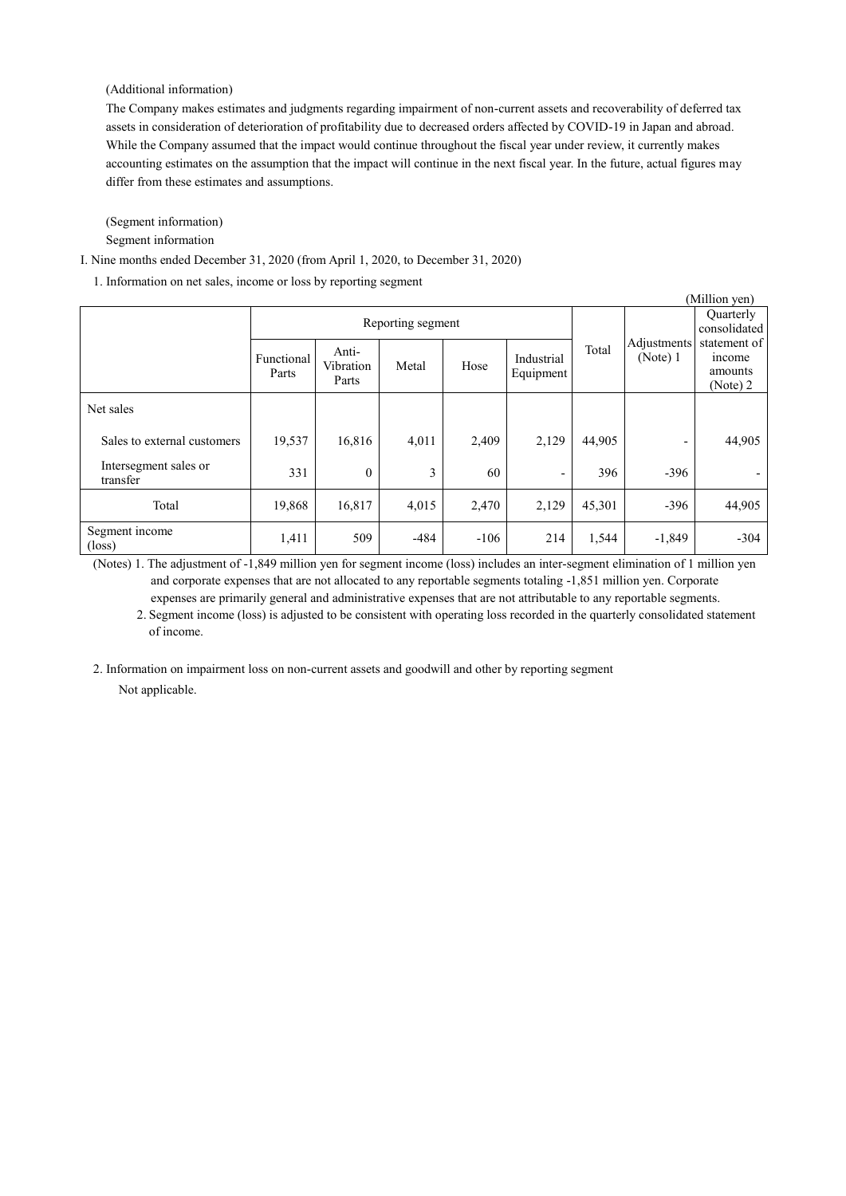### (Additional information)

The Company makes estimates and judgments regarding impairment of non-current assets and recoverability of deferred tax assets in consideration of deterioration of profitability due to decreased orders affected by COVID-19 in Japan and abroad. While the Company assumed that the impact would continue throughout the fiscal year under review, it currently makes accounting estimates on the assumption that the impact will continue in the next fiscal year. In the future, actual figures may differ from these estimates and assumptions.

(Segment information)

Segment information

I. Nine months ended December 31, 2020 (from April 1, 2020, to December 31, 2020)

1. Information on net sales, income or loss by reporting segment

| (Million yen)                     |                     |                             |        |        |                          |        |                         |                                               |
|-----------------------------------|---------------------|-----------------------------|--------|--------|--------------------------|--------|-------------------------|-----------------------------------------------|
|                                   | Reporting segment   |                             |        |        |                          |        |                         | Quarterly<br>consolidated                     |
|                                   | Functional<br>Parts | Anti-<br>Vibration<br>Parts | Metal  | Hose   | Industrial<br>Equipment  | Total  | Adjustments<br>(Note) 1 | statement of<br>income<br>amounts<br>(Note) 2 |
| Net sales                         |                     |                             |        |        |                          |        |                         |                                               |
| Sales to external customers       | 19,537              | 16,816                      | 4,011  | 2,409  | 2,129                    | 44,905 | -                       | 44,905                                        |
| Intersegment sales or<br>transfer | 331                 | $\mathbf{0}$                | 3      | 60     | $\overline{\phantom{a}}$ | 396    | $-396$                  |                                               |
| Total                             | 19,868              | 16,817                      | 4,015  | 2,470  | 2,129                    | 45,301 | $-396$                  | 44,905                                        |
| Segment income<br>$(\text{loss})$ | 1,411               | 509                         | $-484$ | $-106$ | 214                      | 1,544  | $-1,849$                | $-304$                                        |

(Notes) 1. The adjustment of -1,849 million yen for segment income (loss) includes an inter-segment elimination of 1 million yen and corporate expenses that are not allocated to any reportable segments totaling -1,851 million yen. Corporate expenses are primarily general and administrative expenses that are not attributable to any reportable segments.

2. Segment income (loss) is adjusted to be consistent with operating loss recorded in the quarterly consolidated statement of income.

2. Information on impairment loss on non-current assets and goodwill and other by reporting segment

Not applicable.